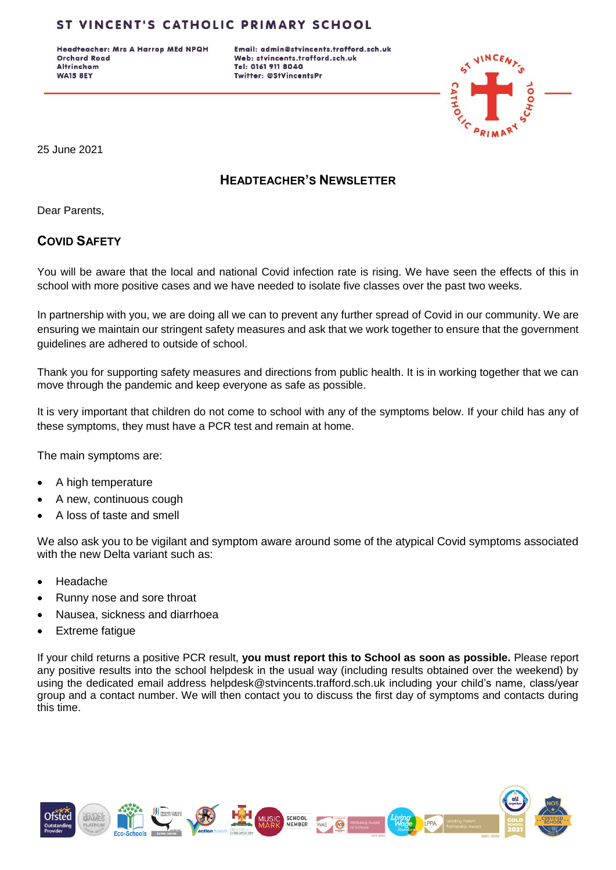Headteacher: Mrs A Harrop MEd NPQH **Orchard Road Altrincham WA15 8EY** 

Email: admin@stvincents.trafford.sch.uk Web: stvincents.trafford.sch.uk Tel: 0161 911 8040 Twitter: @StVincentsPr



25 June 2021

# **HEADTEACHER'S NEWSLETTER**

Dear Parents,

# **COVID SAFETY**

You will be aware that the local and national Covid infection rate is rising. We have seen the effects of this in school with more positive cases and we have needed to isolate five classes over the past two weeks.

In partnership with you, we are doing all we can to prevent any further spread of Covid in our community. We are ensuring we maintain our stringent safety measures and ask that we work together to ensure that the government guidelines are adhered to outside of school.

Thank you for supporting safety measures and directions from public health. It is in working together that we can move through the pandemic and keep everyone as safe as possible.

It is very important that children do not come to school with any of the symptoms below. If your child has any of these symptoms, they must have a PCR test and remain at home.

The main symptoms are:

- A high temperature
- A new, continuous cough
- A loss of taste and smell

We also ask you to be vigilant and symptom aware around some of the atypical Covid symptoms associated with the new Delta variant such as:

- Headache
- Runny nose and sore throat
- Nausea, sickness and diarrhoea
- Extreme fatigue

If your child returns a positive PCR result, **you must report this to School as soon as possible.** Please report any positive results into the school helpdesk in the usual way (including results obtained over the weekend) by using the dedicated email address [helpdesk@stvincents.trafford.sch.uk](mailto:helpdesk@stvincents.trafford.sch.uk) including your child's name, class/year group and a contact number. We will then contact you to discuss the first day of symptoms and contacts during this time.

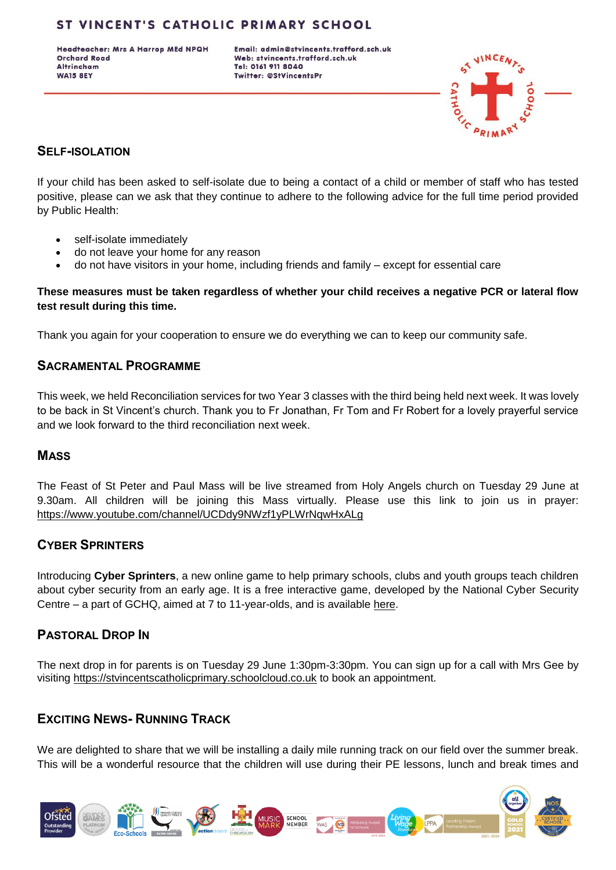Headteacher: Mrs A Harrop MEd NPQH **Orchard Road Altrincham WA15 8EY** 

Email: admin@stvincents.trafford.sch.uk Web: stvincents.trafford.sch.uk Tel: 0161 911 8040 Twitter: @StVincentsPr



### **SELF-ISOLATION**

If your child has been asked to self-isolate due to being a contact of a child or member of staff who has tested positive, please can we ask that they continue to adhere to the following advice for the full time period provided by Public Health:

- self-isolate immediately
- do not leave your home for any reason
- do not have visitors in your home, including friends and family except for essential care

#### **These measures must be taken regardless of whether your child receives a negative PCR or lateral flow test result during this time.**

Thank you again for your cooperation to ensure we do everything we can to keep our community safe.

### **SACRAMENTAL PROGRAMME**

This week, we held Reconciliation services for two Year 3 classes with the third being held next week. It was lovely to be back in St Vincent's church. Thank you to Fr Jonathan, Fr Tom and Fr Robert for a lovely prayerful service and we look forward to the third reconciliation next week.

### **MASS**

The Feast of St Peter and Paul Mass will be live streamed from Holy Angels church on Tuesday 29 June at 9.30am. All children will be joining this Mass virtually. Please use this link to join us in prayer: <https://www.youtube.com/channel/UCDdy9NWzf1yPLWrNqwHxALg>

## **CYBER SPRINTERS**

Introducing **Cyber Sprinters**, a new online game to help primary schools, clubs and youth groups teach children about cyber security from an early age. It is a free interactive game, developed by the National Cyber Security Centre – a part of GCHQ, aimed at 7 to 11-year-olds, and is available [here.](https://www.ncsc.gov.uk/information/cybersprinters-game-and-activities)

### **PASTORAL DROP IN**

The next drop in for parents is on Tuesday 29 June 1:30pm-3:30pm. You can sign up for a call with Mrs Gee by visiting [https://stvincentscatholicprimary.schoolcloud.co.uk](https://stvincentscatholicprimary.schoolcloud.co.uk/) to book an appointment.

# **EXCITING NEWS- RUNNING TRACK**

We are delighted to share that we will be installing a daily mile running track on our field over the summer break. This will be a wonderful resource that the children will use during their PE lessons, lunch and break times and

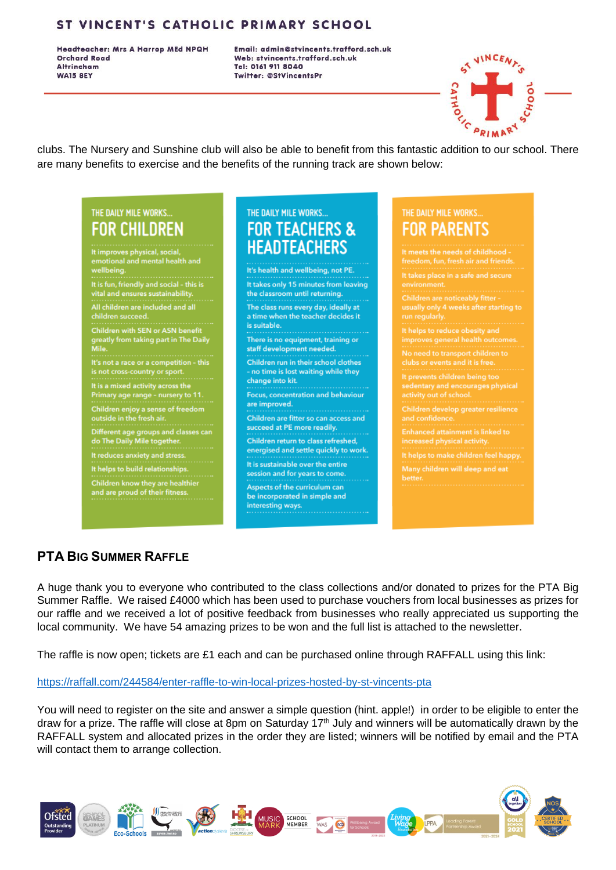Headteacher: Mrs A Harrop MEd NPQH **Orchard Road Altrincham WA15 8EY** 

Email: admin@stvincents.trafford.sch.uk Web: stvincents.trafford.sch.uk Tel: 0161 911 8040 **Twitter: @StVincentsPr** 



clubs. The Nursery and Sunshine club will also be able to benefit from this fantastic addition to our school. There are many benefits to exercise and the benefits of the running track are shown below:

# THE DAILY MILE WORKS... **FOR CHILDREN**

It improves physical, social, tional and mental health ar

.<br>It is fun, friendly and social - this is<br>vital and ensures sustainability.

.<br>children are included and all children succeed.

ren with SEN or ASN ben greatly from taking part in The Daily

It's not a race or a competition - this is not cross-country or sport.

It is a mixed activity across the Primary age range - nursery to 11.

Children enjoy a sense of freedom<br>outside in the fresh air.

Different age groups and classes can

do The Daily Mile together.

It reduces anxiety and stress It helps to build relationships

Children know they are healthier<br>and are proud of their fitness.

# THE DAILY MILE WORKS... **FOR TEACHERS & HEADTEACHERS**

It's health and wellbeing, not PE. It takes only 15 minutes from leaving the classroom until returning. The class runs every day, ideally at a time when the teacher decides it is suitable. There is no equipment, training or staff development needed. Children run in their school clothes - no time is lost waiting while they change into kit. Focus, concentration and behaviour are improved. Children are fitter so can access and succeed at PE more readily.

Children return to class refreshed. energised and settle quickly to work.

It is sustainable over the entire session and for years to come. Aspects of the curriculum can

be incorporated in simple and interesting ways.

# THE DAILY MILE WORKS. FOR PARENTS

ets the needs of childhood . freedom, fun, fresh air and friend It takes place in a safe and secure usually only 4 weeks after starting t It helps to reduce obesity and need to transport children to events children beina to dentary and encourages physical Children develop greater resilience and confidence **Enhanced attainment is linked to** It helps to make children feel happy.

# **PTA BIG SUMMER RAFFLE**

A huge thank you to everyone who contributed to the class collections and/or donated to prizes for the PTA Big Summer Raffle. We raised £4000 which has been used to purchase vouchers from local businesses as prizes for our raffle and we received a lot of positive feedback from businesses who really appreciated us supporting the local community. We have 54 amazing prizes to be won and the full list is attached to the newsletter.

The raffle is now open; tickets are £1 each and can be purchased online through RAFFALL using this link:

#### https://raffall.com/244584/enter-raffle-to-win-local-prizes-hosted-by-st-vincents-pta

You will need to register on the site and answer a simple question (hint. apple!) in order to be eligible to enter the draw for a prize. The raffle will close at 8pm on Saturday 17<sup>th</sup> July and winners will be automatically drawn by the RAFFALL system and allocated prizes in the order they are listed; winners will be notified by email and the PTA will contact them to arrange collection.